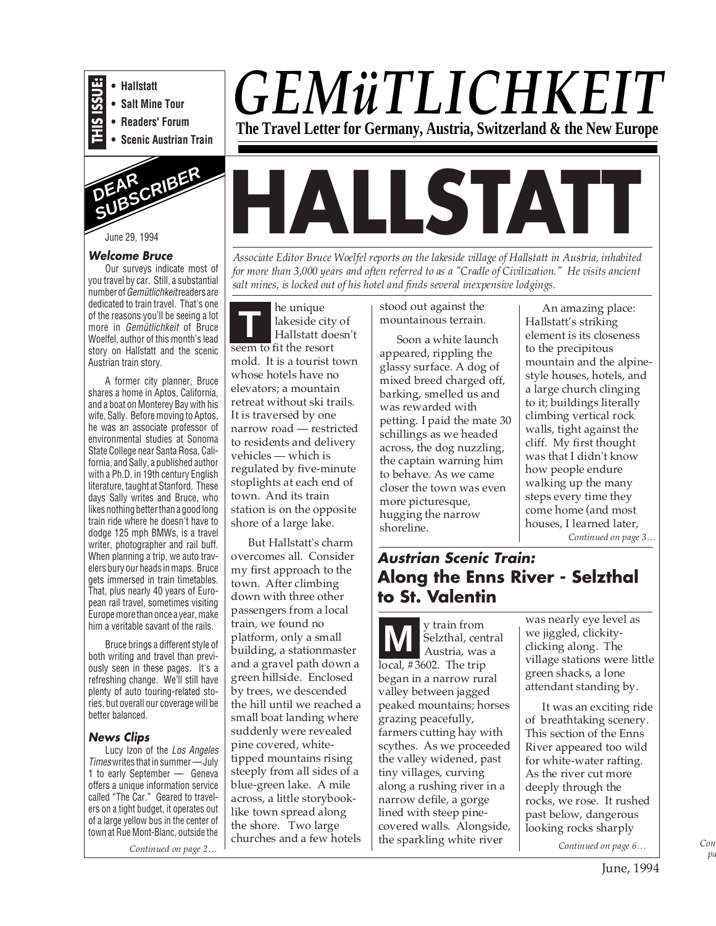



# June 29, 1994

### **Welcome Bruce**

Our surveys indicate most of you travel by car. Still, a substantial number of Gemütlichkeit readers are dedicated to train travel. That's one of the reasons you'll be seeing a lot more in Gemütlichkeit of Bruce Woelfel, author of this month's lead story on Hallstatt and the scenic Austrian train story.

A former city planner, Bruce shares a home in Aptos, California, and a boat on Monterey Bay with his wife, Sally. Before moving to Aptos, he was an associate professor of environmental studies at Sonoma State College near Santa Rosa, California, and Sally, a published author with a Ph.D. in 19th century English literature, taught at Stanford. These days Sally writes and Bruce, who likes nothing better than a good long train ride where he doesn't have to dodge 125 mph BMWs, is a travel writer, photographer and rail buff. When planning a trip, we auto travelers bury our heads in maps. Bruce gets immersed in train timetables. That, plus nearly 40 years of European rail travel, sometimes visiting Europe more than once a year, make him a veritable savant of the rails.

Bruce brings a different style of both writing and travel than previously seen in these pages. It's a refreshing change. We'll still have plenty of auto touring-related stories, but overall our coverage will be better balanced.

#### **News Clips**

Lucy Izon of the Los Angeles Timeswrites that in summer — July 1 to early September — Geneva offers a unique information service called "The Car." Geared to travelers on a tight budget, it operates out of a large yellow bus in the center of town at Rue Mont-Blanc, outside the

*Continued on page 2…*

# *GEMüTLICHKEIT* **The Travel Letter for Germany, Austria, Switzerland & the New Europe**

# **HALLSTAT**

*Associate Editor Bruce Woelfel reports on the lakeside village of Hallstatt in Austria, inhabited for more than 3,000 years and often referred to as a "Cradle of Civilization." He visits ancient salt mines, is locked out of his hotel and finds several inexpensive lodgings.*

**T** he unique lakeside city of Hallstatt doesn't seem to fit the resort mold. It is a tourist town whose hotels have no elevators; a mountain retreat without ski trails. It is traversed by one narrow road — restricted to residents and delivery vehicles — which is regulated by five-minute stoplights at each end of town. And its train station is on the opposite shore of a large lake.

But Hallstatt's charm overcomes all. Consider my first approach to the town. After climbing down with three other passengers from a local train, we found no platform, only a small building, a stationmaster and a gravel path down a green hillside. Enclosed by trees, we descended the hill until we reached a small boat landing where suddenly were revealed pine covered, whitetipped mountains rising steeply from all sides of a blue-green lake. A mile across, a little storybooklike town spread along the shore. Two large churches and a few hotels stood out against the mountainous terrain.

Soon a white launch appeared, rippling the glassy surface. A dog of mixed breed charged off, barking, smelled us and was rewarded with petting. I paid the mate 30 schillings as we headed across, the dog nuzzling, the captain warning him to behave. As we came closer the town was even more picturesque, hugging the narrow shoreline.

An amazing place: Hallstatt's striking element is its closeness to the precipitous mountain and the alpinestyle houses, hotels, and a large church clinging to it; buildings literally climbing vertical rock walls, tight against the cliff. My first thought was that I didn't know how people endure walking up the many steps every time they come home (and most houses, I learned later, *Continued on page 3…*

# **Austrian Scenic Train: Along the Enns River - Selzthal to St. Valentin**

**M** Selzthal, cer<br>Austria, was Selzthal, central Austria, was a local, #3602. The trip began in a narrow rural valley between jagged peaked mountains; horses grazing peacefully, farmers cutting hay with scythes. As we proceeded the valley widened, past tiny villages, curving along a rushing river in a narrow defile, a gorge lined with steep pinecovered walls. Alongside, the sparkling white river

was nearly eye level as we jiggled, clickityclicking along. The village stations were little green shacks, a lone attendant standing by.

It was an exciting ride of breathtaking scenery. This section of the Enns River appeared too wild for white-water rafting. As the river cut more deeply through the rocks, we rose. It rushed past below, dangerous looking rocks sharply

*Continued on page 6…*

*Con pa*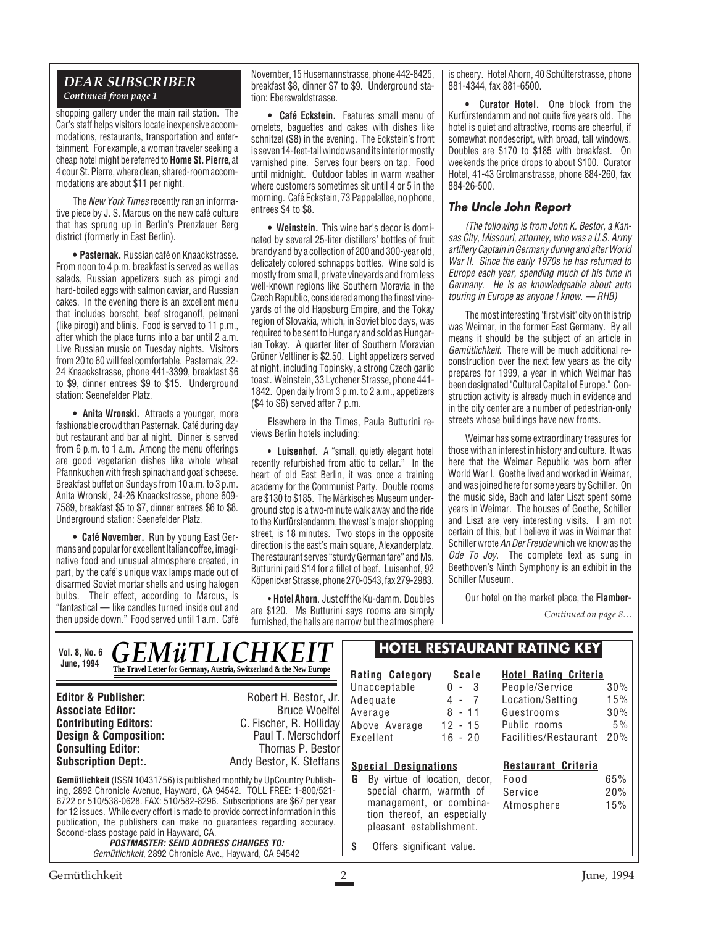# *DEAR SUBSCRIBER Continued from page 1*

shopping gallery under the main rail station. The Car's staff helps visitors locate inexpensive accommodations, restaurants, transportation and entertainment. For example, a woman traveler seeking a cheap hotel might be referred to **Home St. Pierre**, at 4 cour St. Pierre, where clean, shared-room accommodations are about \$11 per night.

The New York Times recently ran an informative piece by J. S. Marcus on the new café culture that has sprung up in Berlin's Prenzlauer Berg district (formerly in East Berlin).

**• Pasternak.** Russian café on Knaackstrasse. From noon to 4 p.m. breakfast is served as well as salads, Russian appetizers such as pirogi and hard-boiled eggs with salmon caviar, and Russian cakes. In the evening there is an excellent menu that includes borscht, beef stroganoff, pelmeni (like pirogi) and blinis. Food is served to 11 p.m., after which the place turns into a bar until 2 a.m. Live Russian music on Tuesday nights. Visitors from 20 to 60 will feel comfortable. Pasternak, 22- 24 Knaackstrasse, phone 441-3399, breakfast \$6 to \$9, dinner entrees \$9 to \$15. Underground station: Seenefelder Platz.

**• Anita Wronski.** Attracts a younger, more fashionable crowd than Pasternak. Café during day but restaurant and bar at night. Dinner is served from 6 p.m. to 1 a.m. Among the menu offerings are good vegetarian dishes like whole wheat Pfannkuchen with fresh spinach and goat's cheese. Breakfast buffet on Sundays from 10 a.m. to 3 p.m. Anita Wronski, 24-26 Knaackstrasse, phone 609- 7589, breakfast \$5 to \$7, dinner entrees \$6 to \$8. Underground station: Seenefelder Platz.

**• Café November.** Run by young East Germans and popular for excellent Italian coffee, imaginative food and unusual atmosphere created, in part, by the café's unique wax lamps made out of disarmed Soviet mortar shells and using halogen bulbs. Their effect, according to Marcus, is "fantastical — like candles turned inside out and then upside down." Food served until 1 a.m. Café

November, 15 Husemannstrasse, phone 442-8425, breakfast \$8, dinner \$7 to \$9. Underground station: Eberswaldstrasse.

**• Café Eckstein.** Features small menu of omelets, baguettes and cakes with dishes like schnitzel (\$8) in the evening. The Eckstein's front is seven 14-feet-tall windows and its interior mostly varnished pine. Serves four beers on tap. Food until midnight. Outdoor tables in warm weather where customers sometimes sit until 4 or 5 in the morning. Café Eckstein, 73 Pappelallee, no phone, entrees \$4 to \$8.

**• Weinstein.** This wine bar's decor is dominated by several 25-liter distillers' bottles of fruit brandy and by a collection of 200 and 300-year old, delicately colored schnapps bottles. Wine sold is mostly from small, private vineyards and from less well-known regions like Southern Moravia in the Czech Republic, considered among the finest vineyards of the old Hapsburg Empire, and the Tokay region of Slovakia, which, in Soviet bloc days, was required to be sent to Hungary and sold as Hungarian Tokay. A quarter liter of Southern Moravian Grüner Veltliner is \$2.50. Light appetizers served at night, including Topinsky, a strong Czech garlic toast. Weinstein, 33 Lychener Strasse, phone 441- 1842. Open daily from 3 p.m. to 2 a.m., appetizers (\$4 to \$6) served after 7 p.m.

Elsewhere in the Times, Paula Butturini reviews Berlin hotels including:

• **Luisenhof**. A "small, quietly elegant hotel recently refurbished from attic to cellar." In the heart of old East Berlin, it was once a training academy for the Communist Party. Double rooms are \$130 to \$185. The Märkisches Museum underground stop is a two-minute walk away and the ride to the Kurfürstendamm, the west's major shopping street, is 18 minutes. Two stops in the opposite direction is the east's main square, Alexanderplatz. The restaurant serves "sturdy German fare" and Ms. Butturini paid \$14 for a fillet of beef. Luisenhof, 92 Köpenicker Strasse, phone 270-0543, fax 279-2983.

• **Hotel Ahorn**. Just off the Ku-damm. Doubles are \$120. Ms Butturini says rooms are simply furnished, the halls are narrow but the atmosphere is cheery. Hotel Ahorn, 40 Schülterstrasse, phone 881-4344, fax 881-6500.

**• Curator Hotel.** One block from the Kurfürstendamm and not quite five years old. The hotel is quiet and attractive, rooms are cheerful, if somewhat nondescript, with broad, tall windows. Doubles are \$170 to \$185 with breakfast. On weekends the price drops to about \$100. Curator Hotel, 41-43 Grolmanstrasse, phone 884-260, fax 884-26-500.

# **The Uncle John Report**

(The following is from John K. Bestor, a Kansas City, Missouri, attorney, who was a U.S. Army artillery Captain in Germany during and after World War II. Since the early 1970s he has returned to Europe each year, spending much of his time in Germany. He is as knowledgeable about auto touring in Europe as anyone I know. — RHB)

The most interesting 'first visit' city on this trip was Weimar, in the former East Germany. By all means it should be the subject of an article in Gemütlichkeit. There will be much additional reconstruction over the next few years as the city prepares for 1999, a year in which Weimar has been designated "Cultural Capital of Europe." Construction activity is already much in evidence and in the city center are a number of pedestrian-only streets whose buildings have new fronts.

Weimar has some extraordinary treasures for those with an interest in history and culture. It was here that the Weimar Republic was born after World War I. Goethe lived and worked in Weimar, and was joined here for some years by Schiller. On the music side, Bach and later Liszt spent some years in Weimar. The houses of Goethe, Schiller and Liszt are very interesting visits. I am not certain of this, but I believe it was in Weimar that Schiller wrote An Der Freudewhich we know as the Ode To Jov. The complete text as sung in Beethoven's Ninth Symphony is an exhibit in the Schiller Museum.

Our hotel on the market place, the **Flamber-**

*Continued on page 8…*

#### *GEMüTLICHKEIT* **The Travel Letter for Germany, Austria, Switzerland & the New Europe**  $\mathbb{R}$ **Rating Category Scale Vol. 8, No. 6 June, 1994**

publication, the publishers can make no guarantees regarding accuracy.

**POSTMASTER: SEND ADDRESS CHANGES TO:** Gemütlichkeit, 2892 Chronicle Ave., Hayward, CA 94542

**Editor & Publisher:** Robert H. Bestor, Jr. **Consulting Editor:**<br>Subscription Dept:.

Second-class postage paid in Hayward, CA.

**Associate Editor:**<br> **C. Fischer. R. Hollidav**<br> **C. Fischer. R. Hollidav Contributing Editors:** C. Fischer, R. Holliday<br> **Design & Composition:** Paul T. Merschdorf **Design & Composition:** Paul T. Merschdorf **Consulting Editor:** Paul T. Merschdorf **Consulting Editor:** Paul Thomas P. Bestor Andy Bestor, K. Steffans

# **Gemütlichkeit** (ISSN 10431756) is published monthly by UpCountry Publishing, 2892 Chronicle Avenue, Hayward, CA 94542. TOLL FREE: 1-800/521- 6722 or 510/538-0628. FAX: 510/582-8296. Subscriptions are \$67 per year for 12 issues. While every effort is made to provide correct information in this

# **HOTEL RESTAURANT RATING KEY**

Unacceptable 0 - 3<br>Adequate 4 - 7 Adequate 4 - 7<br>Average 8 - 11 Average Above Average 12 - 15 Excellent 16 - 20

#### **Hotel Rating Criteria** People/Service 30% Location/Setting 15% Guestrooms 30% Public rooms 5%

**Restaurant Criteria**

Facilities/Restaurant 20%

Service 20% Atmosphere 15%

# **Special Designations**

- **G** By virtue of location, decor, special charm, warmth of management, or combination thereof, an especially pleasant establishment. Food 65%
- **\$** Offers significant value.

Gemütlichkeit 2 June, 1994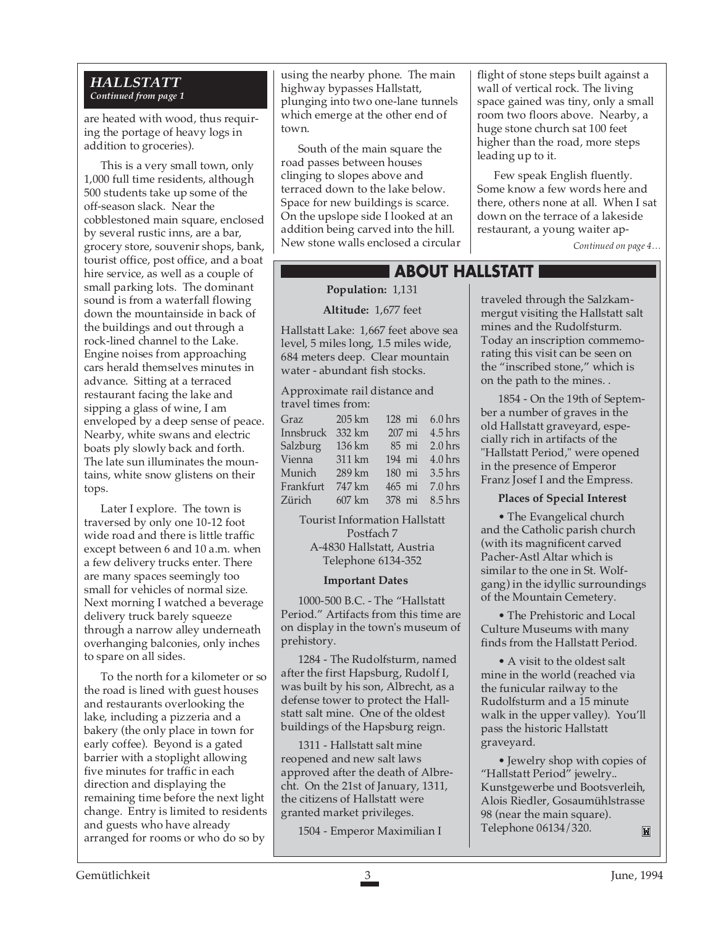## *HALLSTATT Continued from page 1*

are heated with wood, thus requiring the portage of heavy logs in addition to groceries).

This is a very small town, only 1,000 full time residents, although 500 students take up some of the off-season slack. Near the cobblestoned main square, enclosed by several rustic inns, are a bar, grocery store, souvenir shops, bank, tourist office, post office, and a boat hire service, as well as a couple of small parking lots. The dominant sound is from a waterfall flowing down the mountainside in back of the buildings and out through a rock-lined channel to the Lake. Engine noises from approaching cars herald themselves minutes in advance. Sitting at a terraced restaurant facing the lake and sipping a glass of wine, I am enveloped by a deep sense of peace. Nearby, white swans and electric boats ply slowly back and forth. The late sun illuminates the mountains, white snow glistens on their tops.

Later I explore. The town is traversed by only one 10-12 foot wide road and there is little traffic except between 6 and 10 a.m. when a few delivery trucks enter. There are many spaces seemingly too small for vehicles of normal size. Next morning I watched a beverage delivery truck barely squeeze through a narrow alley underneath overhanging balconies, only inches to spare on all sides.

To the north for a kilometer or so the road is lined with guest houses and restaurants overlooking the lake, including a pizzeria and a bakery (the only place in town for early coffee). Beyond is a gated barrier with a stoplight allowing five minutes for traffic in each direction and displaying the remaining time before the next light change. Entry is limited to residents and guests who have already arranged for rooms or who do so by

using the nearby phone. The main highway bypasses Hallstatt, plunging into two one-lane tunnels which emerge at the other end of town.

South of the main square the road passes between houses clinging to slopes above and terraced down to the lake below. Space for new buildings is scarce. On the upslope side I looked at an addition being carved into the hill. New stone walls enclosed a circular flight of stone steps built against a wall of vertical rock. The living space gained was tiny, only a small room two floors above. Nearby, a huge stone church sat 100 feet higher than the road, more steps leading up to it.

Few speak English fluently. Some know a few words here and there, others none at all. When I sat down on the terrace of a lakeside restaurant, a young waiter ap-

*Continued on page 4…*

# **ABOUT HALLSTATT**

# **Population:** 1,131

**Altitude:** 1,677 feet

Hallstatt Lake: 1,667 feet above sea level, 5 miles long, 1.5 miles wide, 684 meters deep. Clear mountain water - abundant fish stocks.

Approximate rail distance and travel times from:

| Graz      | $205 \mathrm{km}$ | 128 mi | 6.0 <sub>hrs</sub> |
|-----------|-------------------|--------|--------------------|
| Innsbruck | 332 km            | 207 mi | $4.5$ hrs          |
| Salzburg  | 136 km            | 85 mi  | 2.0 <sub>hrs</sub> |
| Vienna    | 311 km            | 194 mi | 4.0 <sub>hrs</sub> |
| Munich    | 289 km            | 180 mi | $3.5$ hrs          |
| Frankfurt | 747 km            | 465 mi | 7.0 <sub>hrs</sub> |
| Zürich    | 607 km            | 378 mi | 8.5 <sub>hrs</sub> |

Tourist Information Hallstatt Postfach 7 A-4830 Hallstatt, Austria Telephone 6134-352

#### **Important Dates**

1000-500 B.C. - The "Hallstatt Period." Artifacts from this time are on display in the town's museum of prehistory.

1284 - The Rudolfsturm, named after the first Hapsburg, Rudolf I, was built by his son, Albrecht, as a defense tower to protect the Hallstatt salt mine. One of the oldest buildings of the Hapsburg reign.

1311 - Hallstatt salt mine reopened and new salt laws approved after the death of Albrecht. On the 21st of January, 1311, the citizens of Hallstatt were granted market privileges.

1504 - Emperor Maximilian I

traveled through the Salzkammergut visiting the Hallstatt salt mines and the Rudolfsturm. Today an inscription commemorating this visit can be seen on the "inscribed stone," which is on the path to the mines. .

1854 - On the 19th of September a number of graves in the old Hallstatt graveyard, especially rich in artifacts of the "Hallstatt Period," were opened in the presence of Emperor Franz Josef I and the Empress.

# **Places of Special Interest**

• The Evangelical church and the Catholic parish church (with its magnificent carved Pacher-Astl Altar which is similar to the one in St. Wolfgang) in the idyllic surroundings of the Mountain Cemetery.

• The Prehistoric and Local Culture Museums with many finds from the Hallstatt Period.

• A visit to the oldest salt mine in the world (reached via the funicular railway to the Rudolfsturm and a 15 minute walk in the upper valley). You'll pass the historic Hallstatt graveyard.

• Jewelry shop with copies of "Hallstatt Period" jewelry.. Kunstgewerbe und Bootsverleih, Alois Riedler, Gosaumühlstrasse 98 (near the main square). Telephone 06134/320.M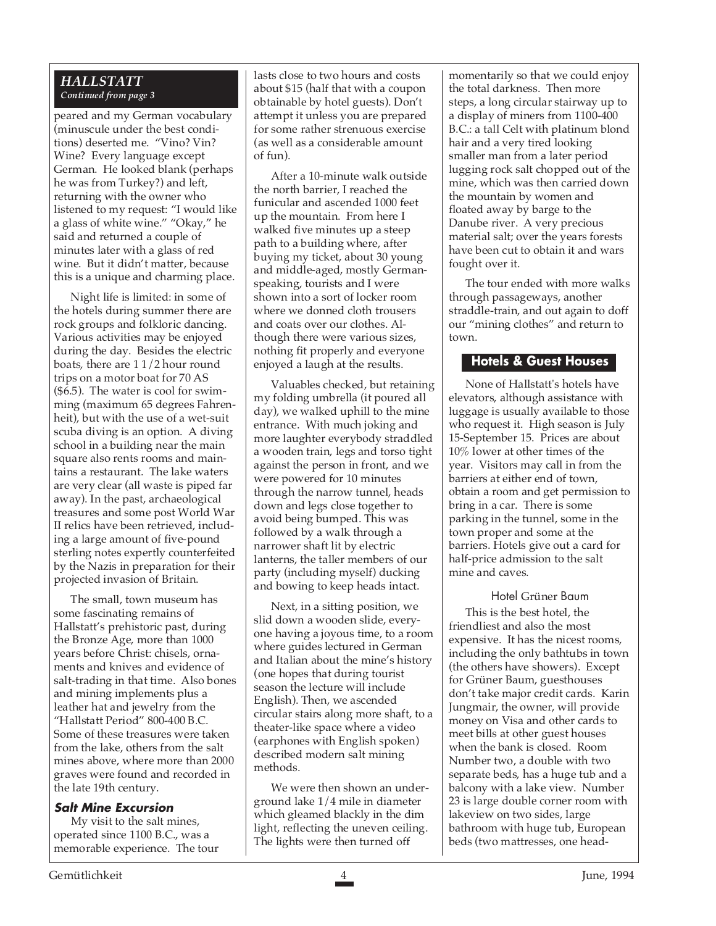# *HALLSTATT Continued from page 3*

peared and my German vocabulary (minuscule under the best conditions) deserted me. "Vino? Vin? Wine? Every language except German. He looked blank (perhaps he was from Turkey?) and left, returning with the owner who listened to my request: "I would like a glass of white wine." "Okay," he said and returned a couple of minutes later with a glass of red wine. But it didn't matter, because this is a unique and charming place.

Night life is limited: in some of the hotels during summer there are rock groups and folkloric dancing. Various activities may be enjoyed during the day. Besides the electric boats, there are 1 1/2 hour round trips on a motor boat for 70 AS (\$6.5). The water is cool for swimming (maximum 65 degrees Fahrenheit), but with the use of a wet-suit scuba diving is an option. A diving school in a building near the main square also rents rooms and maintains a restaurant. The lake waters are very clear (all waste is piped far away). In the past, archaeological treasures and some post World War II relics have been retrieved, including a large amount of five-pound sterling notes expertly counterfeited by the Nazis in preparation for their projected invasion of Britain.

The small, town museum has some fascinating remains of Hallstatt's prehistoric past, during the Bronze Age, more than 1000 years before Christ: chisels, ornaments and knives and evidence of salt-trading in that time. Also bones and mining implements plus a leather hat and jewelry from the "Hallstatt Period" 800-400 B.C. Some of these treasures were taken from the lake, others from the salt mines above, where more than 2000 graves were found and recorded in the late 19th century.

# **Salt Mine Excursion**

My visit to the salt mines, operated since 1100 B.C., was a memorable experience. The tour

lasts close to two hours and costs about \$15 (half that with a coupon obtainable by hotel guests). Don't attempt it unless you are prepared for some rather strenuous exercise (as well as a considerable amount  $of$  fun).

After a 10-minute walk outside the north barrier, I reached the funicular and ascended 1000 feet up the mountain. From here I walked five minutes up a steep path to a building where, after buying my ticket, about 30 young and middle-aged, mostly Germanspeaking, tourists and I were shown into a sort of locker room where we donned cloth trousers and coats over our clothes. Although there were various sizes, nothing fit properly and everyone enjoyed a laugh at the results.

Valuables checked, but retaining my folding umbrella (it poured all day), we walked uphill to the mine entrance. With much joking and more laughter everybody straddled a wooden train, legs and torso tight against the person in front, and we were powered for 10 minutes through the narrow tunnel, heads down and legs close together to avoid being bumped. This was followed by a walk through a narrower shaft lit by electric lanterns, the taller members of our party (including myself) ducking and bowing to keep heads intact.

Next, in a sitting position, we slid down a wooden slide, everyone having a joyous time, to a room where guides lectured in German and Italian about the mine's history (one hopes that during tourist season the lecture will include English). Then, we ascended circular stairs along more shaft, to a theater-like space where a video (earphones with English spoken) described modern salt mining methods.

We were then shown an underground lake 1/4 mile in diameter which gleamed blackly in the dim light, reflecting the uneven ceiling. The lights were then turned off

momentarily so that we could enjoy the total darkness. Then more steps, a long circular stairway up to a display of miners from 1100-400 B.C.: a tall Celt with platinum blond hair and a very tired looking smaller man from a later period lugging rock salt chopped out of the mine, which was then carried down the mountain by women and floated away by barge to the Danube river. A very precious material salt; over the years forests have been cut to obtain it and wars fought over it.

The tour ended with more walks through passageways, another straddle-train, and out again to doff our "mining clothes" and return to town.

# **Hotels & Guest Houses**

None of Hallstatt's hotels have elevators, although assistance with luggage is usually available to those who request it. High season is July 15-September 15. Prices are about 10% lower at other times of the year. Visitors may call in from the barriers at either end of town, obtain a room and get permission to bring in a car. There is some parking in the tunnel, some in the town proper and some at the barriers. Hotels give out a card for half-price admission to the salt mine and caves.

Hotel Grüner Baum This is the best hotel, the friendliest and also the most expensive. It has the nicest rooms, including the only bathtubs in town (the others have showers). Except for Grüner Baum, guesthouses don't take major credit cards. Karin Jungmair, the owner, will provide money on Visa and other cards to meet bills at other guest houses when the bank is closed. Room Number two, a double with two separate beds, has a huge tub and a balcony with a lake view. Number 23 is large double corner room with lakeview on two sides, large bathroom with huge tub, European beds (two mattresses, one head-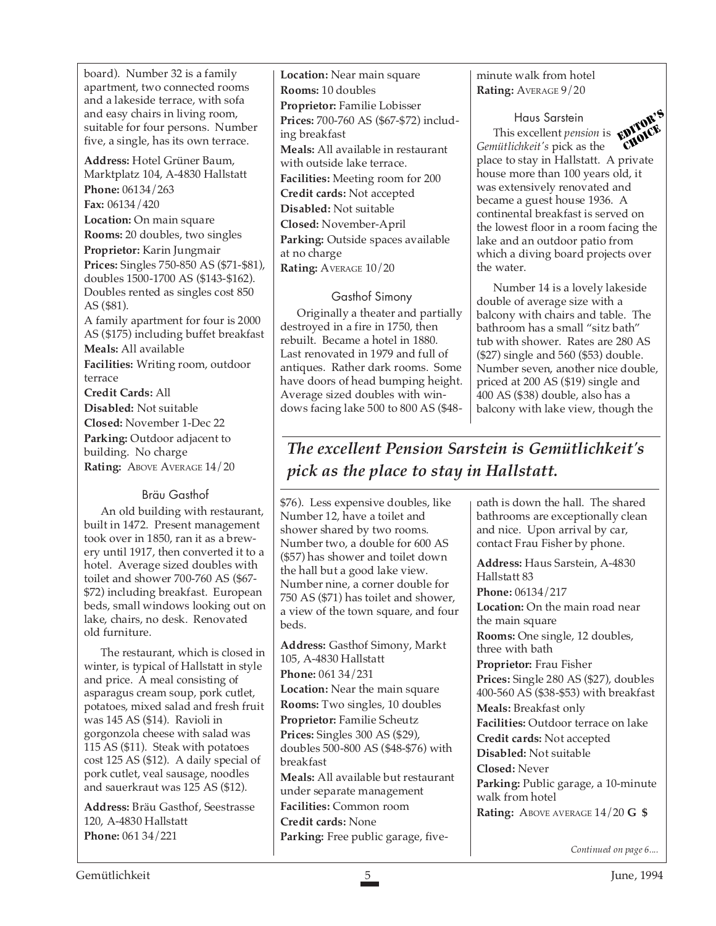board). Number 32 is a family apartment, two connected rooms and a lakeside terrace, with sofa and easy chairs in living room, suitable for four persons. Number five, a single, has its own terrace.

**Address:** Hotel Grüner Baum, Marktplatz 104, A-4830 Hallstatt **Phone:** 06134/263

**Fax:** 06134/420

**Location:** On main square

**Rooms:** 20 doubles, two singles **Proprietor:** Karin Jungmair **Prices:** Singles 750-850 AS (\$71-\$81), doubles 1500-1700 AS (\$143-\$162). Doubles rented as singles cost 850 AS (\$81).

A family apartment for four is 2000 AS (\$175) including buffet breakfast

**Meals:** All available **Facilities:** Writing room, outdoor terrace

**Credit Cards:** All **Disabled:** Not suitable **Closed:** November 1-Dec 22 **Parking:** Outdoor adjacent to building. No charge Rating: ABOVE AVERAGE  $14/20$ 

# Bräu Gasthof

An old building with restaurant, built in 1472. Present management took over in 1850, ran it as a brewery until 1917, then converted it to a hotel. Average sized doubles with toilet and shower 700-760 AS (\$67- \$72) including breakfast. European beds, small windows looking out on lake, chairs, no desk. Renovated old furniture.

The restaurant, which is closed in winter, is typical of Hallstatt in style and price. A meal consisting of asparagus cream soup, pork cutlet, potatoes, mixed salad and fresh fruit was 145 AS (\$14). Ravioli in gorgonzola cheese with salad was 115 AS (\$11). Steak with potatoes cost 125 AS (\$12). A daily special of pork cutlet, veal sausage, noodles and sauerkraut was 125 AS (\$12).

**Address:** Bräu Gasthof, Seestrasse 120, A-4830 Hallstatt **Phone:** 061 34/221

**Location:** Near main square **Rooms:** 10 doubles **Proprietor:** Familie Lobisser **Prices:** 700-760 AS (\$67-\$72) including breakfast **Meals:** All available in restaurant with outside lake terrace. **Facilities:** Meeting room for 200 **Credit cards:** Not accepted **Disabled:** Not suitable **Closed:** November-April **Parking:** Outside spaces available at no charge **Rating:** AVERAGE 10/20

# Gasthof Simony

Originally a theater and partially destroyed in a fire in 1750, then rebuilt. Became a hotel in 1880. Last renovated in 1979 and full of antiques. Rather dark rooms. Some have doors of head bumping height. Average sized doubles with windows facing lake 500 to 800 AS (\$48-

# minute walk from hotel **Rating:** AVERAGE 9/20



Haus Sarstein Haus Sarstein<br>This excellent *pension* is **EDITOR'S** *Gemütlichkeit's* pick as the place to stay in Hallstatt. A private house more than 100 years old, it was extensively renovated and became a guest house 1936. A continental breakfast is served on the lowest floor in a room facing the lake and an outdoor patio from which a diving board projects over the water. CHOICE

Number 14 is a lovely lakeside double of average size with a balcony with chairs and table. The bathroom has a small "sitz bath" tub with shower. Rates are 280 AS (\$27) single and 560 (\$53) double. Number seven, another nice double, priced at 200 AS (\$19) single and 400 AS (\$38) double, also has a balcony with lake view, though the

# *The excellent Pension Sarstein is Gemütlichkeit's pick as the place to stay in Hallstatt.*

\$76). Less expensive doubles, like Number 12, have a toilet and shower shared by two rooms. Number two, a double for 600 AS (\$57) has shower and toilet down the hall but a good lake view. Number nine, a corner double for 750 AS (\$71) has toilet and shower, a view of the town square, and four beds.

**Address:** Gasthof Simony, Markt 105, A-4830 Hallstatt **Phone:** 061 34/231 **Location:** Near the main square **Rooms:** Two singles, 10 doubles **Proprietor:** Familie Scheutz **Prices:** Singles 300 AS (\$29), doubles 500-800 AS (\$48-\$76) with breakfast **Meals:** All available but restaurant under separate management **Facilities:** Common room **Credit cards:** None **Parking:** Free public garage, five-

bath is down the hall. The shared bathrooms are exceptionally clean and nice. Upon arrival by car, contact Frau Fisher by phone.

**Address:** Haus Sarstein, A-4830 Hallstatt 83 **Phone:** 06134/217 **Location:** On the main road near the main square **Rooms:** One single, 12 doubles, three with bath **Proprietor:** Frau Fisher **Prices:** Single 280 AS (\$27), doubles 400-560 AS (\$38-\$53) with breakfast **Meals:** Breakfast only **Facilities:** Outdoor terrace on lake **Credit cards:** Not accepted **Disabled:** Not suitable **Closed:** Never **Parking:** Public garage, a 10-minute walk from hotel **Rating:** ABOVE AVERAGE 14/20 **G \$**

*Continued on page 6....*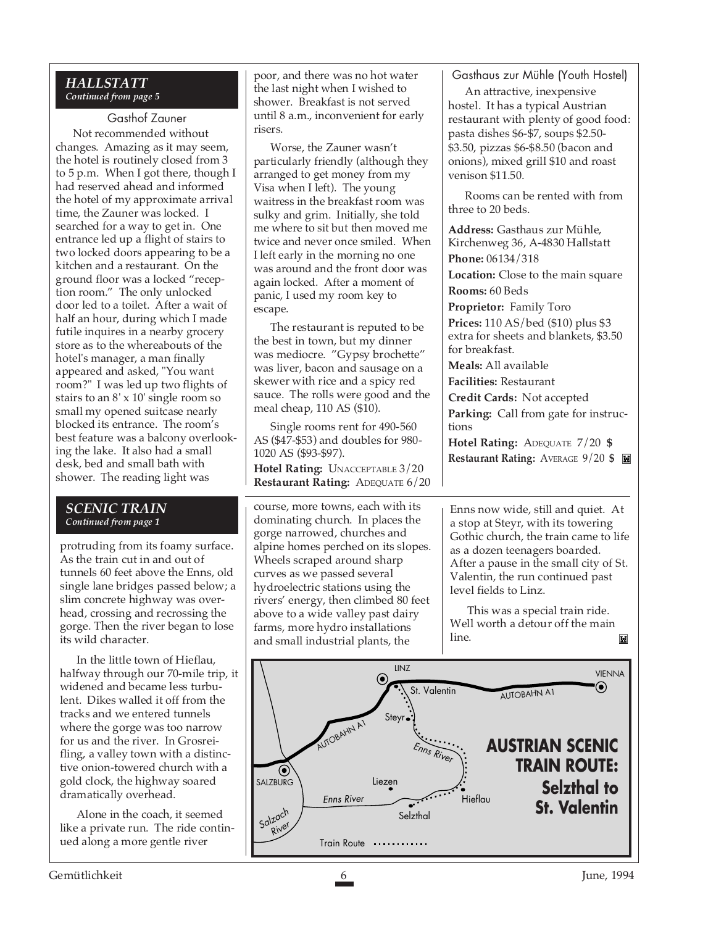# *HALLSTATT Continued from page 5*

# Gasthof Zauner

Not recommended without changes. Amazing as it may seem, the hotel is routinely closed from 3 to 5 p.m. When I got there, though I had reserved ahead and informed the hotel of my approximate arrival time, the Zauner was locked. I searched for a way to get in. One entrance led up a flight of stairs to two locked doors appearing to be a kitchen and a restaurant. On the ground floor was a locked "reception room." The only unlocked door led to a toilet. After a wait of half an hour, during which I made futile inquires in a nearby grocery store as to the whereabouts of the hotel's manager, a man finally appeared and asked, "You want room?" I was led up two flights of stairs to an 8' x 10' single room so small my opened suitcase nearly blocked its entrance. The room's best feature was a balcony overlooking the lake. It also had a small desk, bed and small bath with shower. The reading light was

# *SCENIC TRAIN Continued from page 1*

protruding from its foamy surface. As the train cut in and out of tunnels 60 feet above the Enns, old single lane bridges passed below; a slim concrete highway was overhead, crossing and recrossing the gorge. Then the river began to lose its wild character.

In the little town of Hieflau, halfway through our 70-mile trip, it widened and became less turbulent. Dikes walled it off from the tracks and we entered tunnels where the gorge was too narrow for us and the river. In Grosreifling, a valley town with a distinctive onion-towered church with a gold clock, the highway soared dramatically overhead.

Alone in the coach, it seemed like a private run. The ride continued along a more gentle river

poor, and there was no hot water the last night when I wished to shower. Breakfast is not served until 8 a.m., inconvenient for early risers.

Worse, the Zauner wasn't particularly friendly (although they arranged to get money from my Visa when I left). The young waitress in the breakfast room was sulky and grim. Initially, she told me where to sit but then moved me twice and never once smiled. When I left early in the morning no one was around and the front door was again locked. After a moment of panic, I used my room key to escape.

The restaurant is reputed to be the best in town, but my dinner was mediocre. "Gypsy brochette" was liver, bacon and sausage on a skewer with rice and a spicy red sauce. The rolls were good and the meal cheap, 110 AS (\$10).

Single rooms rent for 490-560 AS (\$47-\$53) and doubles for 980- 1020 AS (\$93-\$97).

**Hotel Rating:** UNACCEPTABLE 3/20 **Restaurant Rating:** ADEQUATE 6/20 Gasthaus zur Mühle (Youth Hostel)

An attractive, inexpensive hostel. It has a typical Austrian restaurant with plenty of good food: pasta dishes \$6-\$7, soups \$2.50- \$3.50, pizzas \$6-\$8.50 (bacon and onions), mixed grill \$10 and roast venison \$11.50.

Rooms can be rented with from three to 20 beds.

**Address:** Gasthaus zur Mühle, Kirchenweg 36, A-4830 Hallstatt **Phone:** 06134/318 **Location:** Close to the main square **Rooms:** 60 Beds **Proprietor:** Family Toro **Prices:** 110 AS/bed (\$10) plus \$3 extra for sheets and blankets, \$3.50 for breakfast. **Meals:** All available **Facilities:** Restaurant **Credit Cards:** Not accepted **Parking:** Call from gate for instructions **Hotel Rating:** ADEQUATE 7/20 **\$ Restaurant Rating:** AVERAGE 9/20 **\$**

course, more towns, each with its dominating church. In places the gorge narrowed, churches and alpine homes perched on its slopes. Wheels scraped around sharp curves as we passed several hydroelectric stations using the rivers' energy, then climbed 80 feet above to a wide valley past dairy farms, more hydro installations and small industrial plants, the

Enns now wide, still and quiet. At a stop at Steyr, with its towering Gothic church, the train came to life as a dozen teenagers boarded. After a pause in the small city of St. Valentin, the run continued past level fields to Linz.

This was a special train ride. Well worth a detour off the main line. Ħ

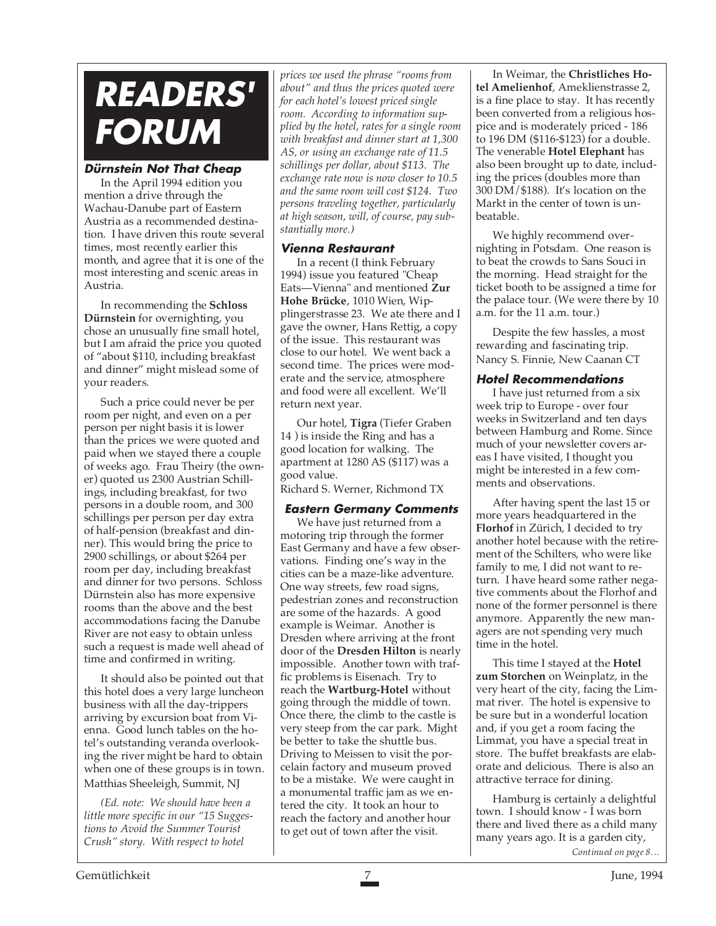# **READERS' FORUM**

# **Dürnstein Not That Cheap**

In the April 1994 edition you mention a drive through the Wachau-Danube part of Eastern Austria as a recommended destination. I have driven this route several times, most recently earlier this month, and agree that it is one of the most interesting and scenic areas in Austria.

In recommending the **Schloss Dürnstein** for overnighting, you chose an unusually fine small hotel, but I am afraid the price you quoted of "about \$110, including breakfast and dinner" might mislead some of your readers.

Such a price could never be per room per night, and even on a per person per night basis it is lower than the prices we were quoted and paid when we stayed there a couple of weeks ago. Frau Theiry (the owner) quoted us 2300 Austrian Schillings, including breakfast, for two persons in a double room, and 300 schillings per person per day extra of half-pension (breakfast and dinner). This would bring the price to 2900 schillings, or about \$264 per room per day, including breakfast and dinner for two persons. Schloss Dürnstein also has more expensive rooms than the above and the best accommodations facing the Danube River are not easy to obtain unless such a request is made well ahead of time and confirmed in writing.

It should also be pointed out that this hotel does a very large luncheon business with all the day-trippers arriving by excursion boat from Vienna. Good lunch tables on the hotel's outstanding veranda overlooking the river might be hard to obtain when one of these groups is in town. Matthias Sheeleigh, Summit, NJ

*(Ed. note: We should have been a little more specific in our "15 Suggestions to Avoid the Summer Tourist Crush" story. With respect to hotel*

*prices we used the phrase "rooms from about" and thus the prices quoted were for each hotel's lowest priced single room. According to information supplied by the hotel, rates for a single room with breakfast and dinner start at 1,300 AS, or using an exchange rate of 11.5 schillings per dollar, about \$113. The exchange rate now is now closer to 10.5 and the same room will cost \$124. Two persons traveling together, particularly at high season, will, of course, pay substantially more.)*

# **Vienna Restaurant**

In a recent (I think February 1994) issue you featured "Cheap Eats—Vienna" and mentioned **Zur Hohe Brücke**, 1010 Wien, Wipplingerstrasse 23. We ate there and I gave the owner, Hans Rettig, a copy of the issue. This restaurant was close to our hotel. We went back a second time. The prices were moderate and the service, atmosphere and food were all excellent. We'll return next year.

Our hotel, **Tigra** (Tiefer Graben 14 ) is inside the Ring and has a good location for walking. The apartment at 1280 AS (\$117) was a good value.

Richard S. Werner, Richmond TX

# **Eastern Germany Comments**

We have just returned from a motoring trip through the former East Germany and have a few observations. Finding one's way in the cities can be a maze-like adventure. One way streets, few road signs, pedestrian zones and reconstruction are some of the hazards. A good example is Weimar. Another is Dresden where arriving at the front door of the **Dresden Hilton** is nearly impossible. Another town with traffic problems is Eisenach. Try to reach the **Wartburg-Hotel** without going through the middle of town. Once there, the climb to the castle is very steep from the car park. Might be better to take the shuttle bus. Driving to Meissen to visit the porcelain factory and museum proved to be a mistake. We were caught in a monumental traffic jam as we entered the city. It took an hour to reach the factory and another hour to get out of town after the visit.

In Weimar, the **Christliches Hotel Amelienhof**, Ameklienstrasse 2, is a fine place to stay. It has recently been converted from a religious hospice and is moderately priced - 186 to 196 DM (\$116-\$123) for a double. The venerable **Hotel Elephant** has also been brought up to date, including the prices (doubles more than 300 DM/\$188). It's location on the Markt in the center of town is unbeatable.

We highly recommend overnighting in Potsdam. One reason is to beat the crowds to Sans Souci in the morning. Head straight for the ticket booth to be assigned a time for the palace tour. (We were there by 10 a.m. for the 11 a.m. tour.)

Despite the few hassles, a most rewarding and fascinating trip. Nancy S. Finnie, New Caanan CT

# **Hotel Recommendations**

I have just returned from a six week trip to Europe - over four weeks in Switzerland and ten days between Hamburg and Rome. Since much of your newsletter covers areas I have visited, I thought you might be interested in a few comments and observations.

After having spent the last 15 or more years headquartered in the **Florhof** in Zürich, I decided to try another hotel because with the retirement of the Schilters, who were like family to me, I did not want to return. I have heard some rather negative comments about the Florhof and none of the former personnel is there anymore. Apparently the new managers are not spending very much time in the hotel.

This time I stayed at the **Hotel zum Storchen** on Weinplatz, in the very heart of the city, facing the Limmat river. The hotel is expensive to be sure but in a wonderful location and, if you get a room facing the Limmat, you have a special treat in store. The buffet breakfasts are elaborate and delicious. There is also an attractive terrace for dining.

Hamburg is certainly a delightful town. I should know - I was born there and lived there as a child many many years ago. It is a garden city,

*Continued on page 8…*